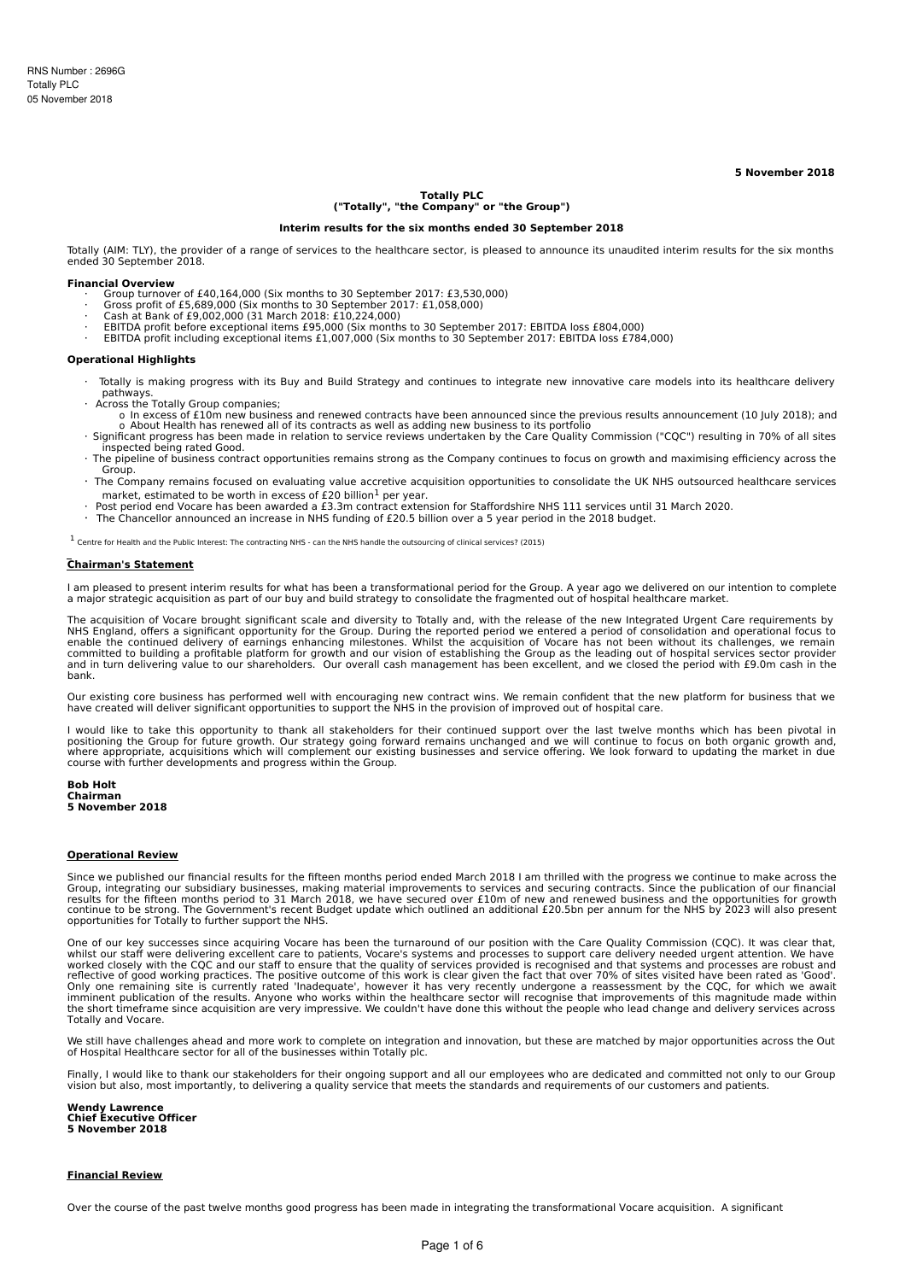**5 November 2018**

# **Totally PLC ("Totally", "the Company" or "the Group")**

### **Interim results for the six months ended 30 September 2018**

Totally (AIM: TLY), the provider of a range of services to the healthcare sector, is pleased to announce its unaudited interim results for the six months ended 30 September 2018.

#### **Financial Overview**

- · Group turnover of £40,164,000 (Six months to 30 September 2017: £3,530,000)
- · Gross profit of £5,689,000 (Six months to 30 September 2017: £1,058,000) · Cash at Bank of £9,002,000 (31 March 2018: £10,224,000)
- 
- · EBITDA profit before exceptional items £95,000 (Six months to 30 September 2017: EBITDA loss £804,000) · EBITDA profit including exceptional items £1,007,000 (Six months to 30 September 2017: EBITDA loss £784,000)

### **Operational Highlights**

- Totally is making progress with its Buy and Build Strategy and continues to integrate new innovative care models into its healthcare delivery pathways.
- · Across the Totally Group companies;
	- o In excess of £10m new business and renewed contracts have been announced since the previous results announcement (10 July 2018); and
- o About Health has renewed all of its contracts as well as adding new business to its portfolio<br>Significant progress has been made in relation to service reviews undertaken by the Care Quality Commission ("CQC") resulting inspected being rated Good.
- · The pipeline of business contract opportunities remains strong as the Company continues to focus on growth and maximising efficiency across the Group.
- · The Company remains focused on evaluating value accretive acquisition opportunities to consolidate the UK NHS outsourced healthcare services market, estimated to be worth in excess of £20 billion<sup>1</sup> per year.
- · Post period end Vocare has been awarded a £3.3m contract extension for Staffordshire NHS 111 services until 31 March 2020.
- · The Chancellor announced an increase in NHS funding of £20.5 billion over a 5 year period in the 2018 budget.

<sup>1</sup> Centre for Health and the Public Interest: The contracting NHS - can the NHS handle the outsourcing of clinical services? (2015)

### **Chairman's Statement**

I am pleased to present interim results for what has been a transformational period for the Group. A year ago we delivered on our intention to complete a major strategic acquisition as part of our buy and build strategy to consolidate the fragmented out of hospital healthcare market.

The acquisition of Vocare brought significant scale and diversity to Totally and, with the release of the new Integrated Urgent Care requirements by NHS England, offers a significant opportunity for the Group. During the reported period we entered a period of consolidation and operational focus to<br>enable the continued delivery of earnings enhancing milestones. Whilst t and in turn delivering value to our shareholders. Our overall cash management has been excellent, and we closed the period with £9.0m cash in the bank.

Our existing core business has performed well with encouraging new contract wins. We remain confident that the new platform for business that we have created will deliver significant opportunities to support the NHS in the provision of improved out of hospital care.

I would like to take this opportunity to thank all stakeholders for their continued support over the last twelve months which has been pivotal in positioning the Group for future growth. Our strategy going forward remains unchanged and we will continue to focus on both organic growth and,<br>where appropriate, acquisitions which will complement our existing businesses course with further developments and progress within the Group.

### **Bob Holt Chairman 5 November 2018**

#### **Operational Review**

Since we published our financial results for the fifteen months period ended March 2018 I am thrilled with the progress we continue to make across the<br>Group, integrating our subsidiary businesses, making material improveme opportunities for Totally to further support the NHS.

One of our key successes since acquiring Vocare has been the turnaround of our position with the Care Quality Commission (CQC). It was clear that,<br>whilst our staff were delivering excellent care to patients, Vocare's syste reflective of good working practices. The positive outcome of this work is clear given the fact that over 70% of sites visited have been rated as 'Good'.<br>Only one remaining site is currently rated 'Inadequate', however it the short timeframe since acquisition are very impressive. We couldn't have done this without the people who lead change and delivery services across Totally and Vocare.

We still have challenges ahead and more work to complete on integration and innovation, but these are matched by major opportunities across the Out of Hospital Healthcare sector for all of the businesses within Totally plc.

Finally, I would like to thank our stakeholders for their ongoing support and all our employees who are dedicated and committed not only to our Group vision but also, most importantly, to delivering a quality service that meets the standards and requirements of our customers and patients.

**Wendy Lawrence Chief Executive Officer 5 November 2018**

### **Financial Review**

Over the course of the past twelve months good progress has been made in integrating the transformational Vocare acquisition. A significant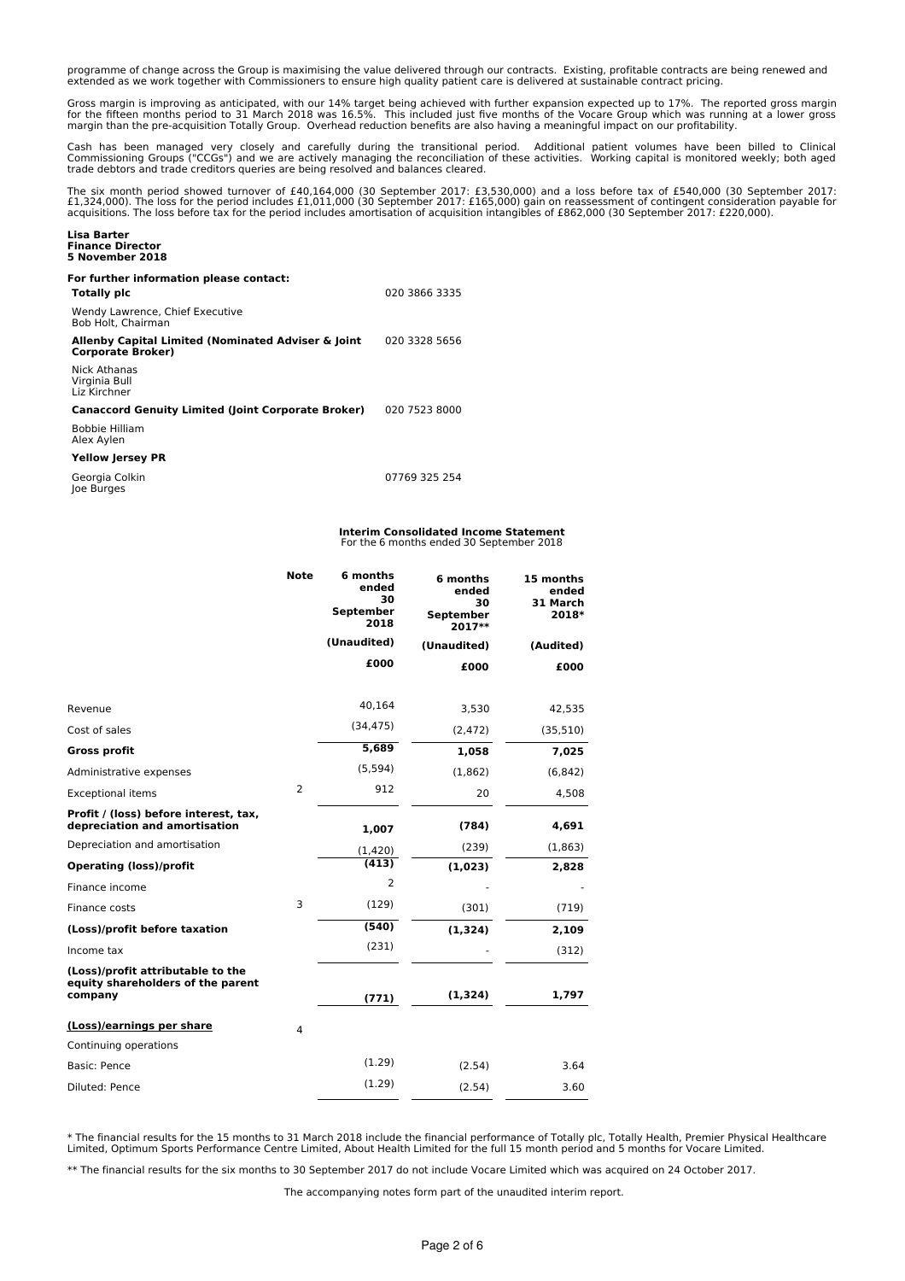programme of change across the Group is maximising the value delivered through our contracts. Existing, profitable contracts are being renewed and<br>extended as we work together with Commissioners to ensure high quality pati

Gross margin is improving as anticipated, with our 14% target being achieved with further expansion expected up to 17%. The reported gross margin<br>for the fifteen months period to 31 March 2018 was 16.5%. This included jus margin than the pre-acquisition Totally Group. Overhead reduction benefits are also having a meaningful impact on our profitability.

Cash has been managed very closely and carefully during the transitional period. Additional patient volumes have been billed to Clinical<br>Commissioning Groups ("CCGs") and we are actively managing the reconciliation of thes trade debtors and trade creditors queries are being resolved and balances cleared.

The six month period showed turnover of £40,164,000 (30 September 2017: £3,530,000) and a loss before tax of £540,000 (30 September 2017:<br>£1,324,000). The loss for the period includes £1,011,000 (30 September 2017: £165,00 acquisitions. The loss before tax for the period includes amortisation of acquisition intangibles of £862,000 (30 September 2017: £220,000).

# **Lisa Barter Finance Director 5 November 2018**

# **For further information please contact:**

**Totally plc** 020 3866 3335 Wendy Lawrence, Chief Executive Bob Holt, Chairman **Allenby Capital Limited (Nominated Adviser & Joint Corporate Broker)** 020 3328 5656

Nick Athanas Virginia Bull Liz Kirchner

**Canaccord Genuity Limited (Joint Corporate Broker)** 020 7523 8000 Bobbie Hilliam

Alex Aylen

## **Yellow Jersey PR**

Georgia Colkin Joe Burges

07769 325 254

### **Interim Consolidated Income Statement** For the 6 months ended 30 September 2018

|                                                                                   | <b>Note</b> | 6 months<br>ended<br>30<br><b>September</b><br>2018 | 6 months<br>ended<br>30<br><b>September</b><br>2017** | 15 months<br>ended<br>31 March<br>2018* |
|-----------------------------------------------------------------------------------|-------------|-----------------------------------------------------|-------------------------------------------------------|-----------------------------------------|
|                                                                                   |             | (Unaudited)                                         | (Unaudited)                                           | (Audited)                               |
|                                                                                   |             | £000                                                | £000                                                  | £000                                    |
|                                                                                   |             |                                                     |                                                       |                                         |
| Revenue                                                                           |             | 40,164                                              | 3,530                                                 | 42,535                                  |
| Cost of sales                                                                     |             | (34, 475)                                           | (2, 472)                                              | (35, 510)                               |
| <b>Gross profit</b>                                                               |             | 5,689                                               | 1,058                                                 | 7,025                                   |
| Administrative expenses                                                           |             | (5, 594)                                            | (1,862)                                               | (6, 842)                                |
| <b>Exceptional items</b>                                                          | 2           | 912                                                 | 20                                                    | 4,508                                   |
| Profit / (loss) before interest, tax,<br>depreciation and amortisation            |             | 1,007                                               | (784)                                                 | 4,691                                   |
| Depreciation and amortisation                                                     |             | (1,420)                                             | (239)                                                 | (1,863)                                 |
| <b>Operating (loss)/profit</b>                                                    |             | (413)                                               | (1,023)                                               | 2,828                                   |
| Finance income                                                                    |             | 2                                                   |                                                       |                                         |
| Finance costs                                                                     | 3           | (129)                                               | (301)                                                 | (719)                                   |
| (Loss)/profit before taxation                                                     |             | (540)                                               | (1, 324)                                              | 2,109                                   |
| Income tax                                                                        |             | (231)                                               |                                                       | (312)                                   |
| (Loss)/profit attributable to the<br>equity shareholders of the parent<br>company |             | (771)                                               | (1, 324)                                              | 1,797                                   |
| (Loss)/earnings per share                                                         | 4           |                                                     |                                                       |                                         |
| Continuing operations                                                             |             |                                                     |                                                       |                                         |
| Basic: Pence                                                                      |             | (1.29)                                              | (2.54)                                                | 3.64                                    |
| Diluted: Pence                                                                    |             | (1.29)                                              | (2.54)                                                | 3.60                                    |

\* The financial results for the 15 months to 31 March 2018 include the financial performance of Totally plc, Totally Health, Premier Physical Healthcare<br>Limited, Optimum Sports Performance Centre Limited, About Health Limi

\*\* The financial results for the six months to 30 September 2017 do not include Vocare Limited which was acquired on 24 October 2017.

The accompanying notes form part of the unaudited interim report.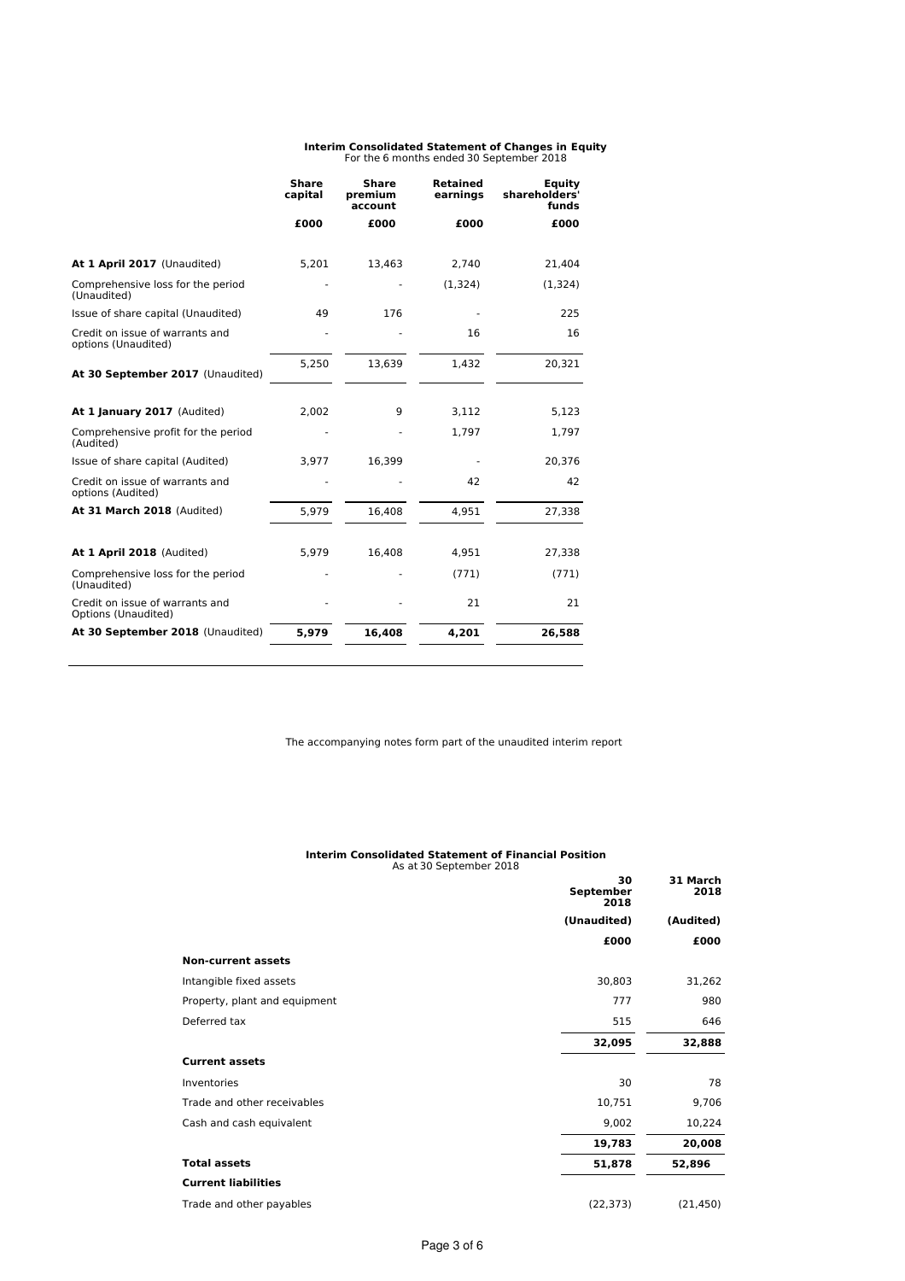# **Interim Consolidated Statement of Changes in Equity** For the 6 months ended 30 September 2018

| <b>Share</b><br>capital | <b>Share</b><br>premium<br>account | <b>Retained</b><br>earnings | Equity<br>shareholders'<br>funds |
|-------------------------|------------------------------------|-----------------------------|----------------------------------|
| £000                    | £000                               | £000                        | £000                             |
|                         |                                    |                             | 21,404                           |
|                         |                                    | (1,324)                     | (1,324)                          |
| 49                      | 176                                |                             | 225                              |
|                         |                                    | 16                          | 16                               |
| 5,250                   | 13,639                             | 1,432                       | 20,321                           |
| 2,002                   | 9                                  | 3.112                       | 5,123                            |
|                         |                                    | 1.797                       | 1,797                            |
| 3,977                   | 16,399                             |                             | 20,376                           |
|                         |                                    | 42                          | 42                               |
| 5,979                   | 16,408                             | 4,951                       | 27,338                           |
| 5,979                   | 16,408                             | 4,951                       | 27,338                           |
|                         |                                    | (771)                       | (771)                            |
|                         |                                    | 21                          | 21                               |
| 5,979                   | 16,408                             | 4,201                       | 26,588                           |
|                         | 5,201                              | 13,463                      | 2,740                            |

The accompanying notes form part of the unaudited interim report

# **Interim Consolidated Statement of Financial Position** As at 30 September 2018

|                               | 30<br>September<br>2018 | 31 March<br>2018 |
|-------------------------------|-------------------------|------------------|
|                               | (Unaudited)             | (Audited)        |
|                               | £000                    | £000             |
| <b>Non-current assets</b>     |                         |                  |
| Intangible fixed assets       | 30,803                  | 31,262           |
| Property, plant and equipment | 777                     | 980              |
| Deferred tax                  | 515                     | 646              |
|                               | 32,095                  | 32,888           |
| <b>Current assets</b>         |                         |                  |
| Inventories                   | 30                      | 78               |
| Trade and other receivables   | 10,751                  | 9,706            |
| Cash and cash equivalent      | 9,002                   | 10,224           |
|                               | 19,783                  | 20,008           |
| <b>Total assets</b>           | 51,878                  | 52,896           |
| <b>Current liabilities</b>    |                         |                  |
| Trade and other payables      | (22, 373)               | (21, 450)        |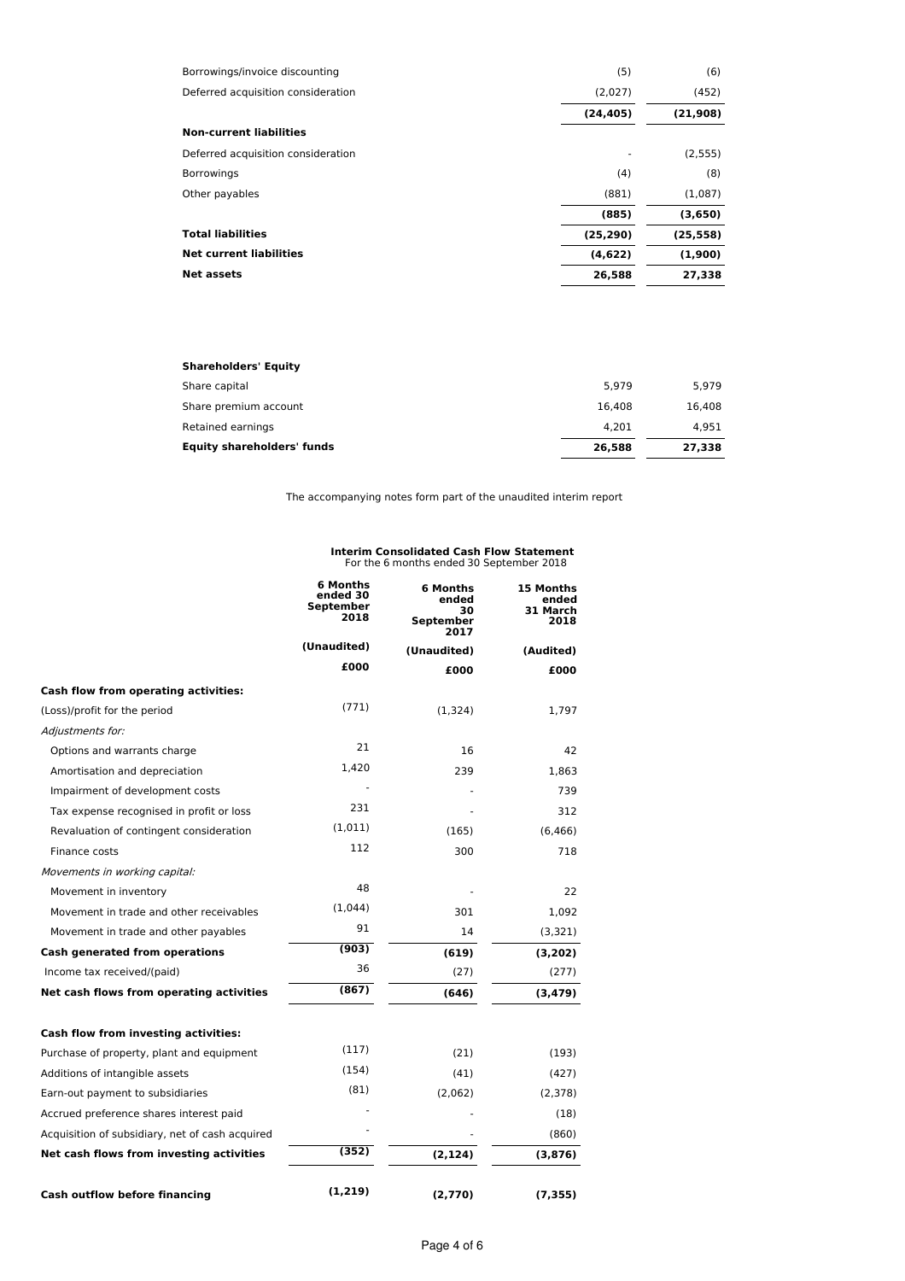| Borrowings/invoice discounting     | (5)       | (6)       |
|------------------------------------|-----------|-----------|
| Deferred acquisition consideration | (2,027)   | (452)     |
|                                    | (24, 405) | (21,908)  |
| <b>Non-current liabilities</b>     |           |           |
| Deferred acquisition consideration |           | (2, 555)  |
| <b>Borrowings</b>                  | (4)       | (8)       |
| Other payables                     | (881)     | (1,087)   |
|                                    | (885)     | (3,650)   |
| <b>Total liabilities</b>           | (25, 290) | (25, 558) |
| <b>Net current liabilities</b>     | (4,622)   | (1,900)   |
| <b>Net assets</b>                  | 26,588    | 27,338    |

| 5.979  | 5.979  |
|--------|--------|
| 16.408 | 16.408 |
| 4.201  | 4.951  |
| 26.588 | 27,338 |
|        |        |

The accompanying notes form part of the unaudited interim report

# **Interim Consolidated Cash Flow Statement** For the 6 months ended 30 September 2018

|                                                 | <b>6 Months</b><br>ended 30<br><b>September</b><br>2018 | 6 Months<br>ended<br>30<br>September<br>2017 | 15 Months<br>ended<br>31 March<br>2018 |
|-------------------------------------------------|---------------------------------------------------------|----------------------------------------------|----------------------------------------|
|                                                 | (Unaudited)                                             | (Unaudited)                                  | (Audited)                              |
|                                                 | £000                                                    | £000                                         | £000                                   |
| Cash flow from operating activities:            |                                                         |                                              |                                        |
| (Loss)/profit for the period                    | (771)                                                   | (1,324)                                      | 1,797                                  |
| Adjustments for:                                |                                                         |                                              |                                        |
| Options and warrants charge                     | 21                                                      | 16                                           | 42                                     |
| Amortisation and depreciation                   | 1.420                                                   | 239                                          | 1,863                                  |
| Impairment of development costs                 |                                                         |                                              | 739                                    |
| Tax expense recognised in profit or loss        | 231                                                     |                                              | 312                                    |
| Revaluation of contingent consideration         | (1,011)                                                 | (165)                                        | (6.466)                                |
| Finance costs                                   | 112                                                     | 300                                          | 718                                    |
| Movements in working capital:                   |                                                         |                                              |                                        |
| Movement in inventory                           | 48                                                      |                                              | 22                                     |
| Movement in trade and other receivables         | (1,044)                                                 | 301                                          | 1,092                                  |
| Movement in trade and other payables            | 91                                                      | 14                                           | (3,321)                                |
| <b>Cash generated from operations</b>           | (903)                                                   | (619)                                        | (3,202)                                |
| Income tax received/(paid)                      | 36                                                      | (27)                                         | (277)                                  |
| Net cash flows from operating activities        | (867)                                                   | (646)                                        | (3, 479)                               |
| Cash flow from investing activities:            |                                                         |                                              |                                        |
| Purchase of property, plant and equipment       | (117)                                                   | (21)                                         | (193)                                  |
| Additions of intangible assets                  | (154)                                                   | (41)                                         | (427)                                  |
| Earn-out payment to subsidiaries                | (81)                                                    | (2,062)                                      | (2,378)                                |
| Accrued preference shares interest paid         |                                                         |                                              | (18)                                   |
| Acquisition of subsidiary, net of cash acquired |                                                         |                                              | (860)                                  |
| Net cash flows from investing activities        | (352)                                                   | (2, 124)                                     | (3,876)                                |
| <b>Cash outflow before financing</b>            | (1, 219)                                                | (2,770)                                      | (7, 355)                               |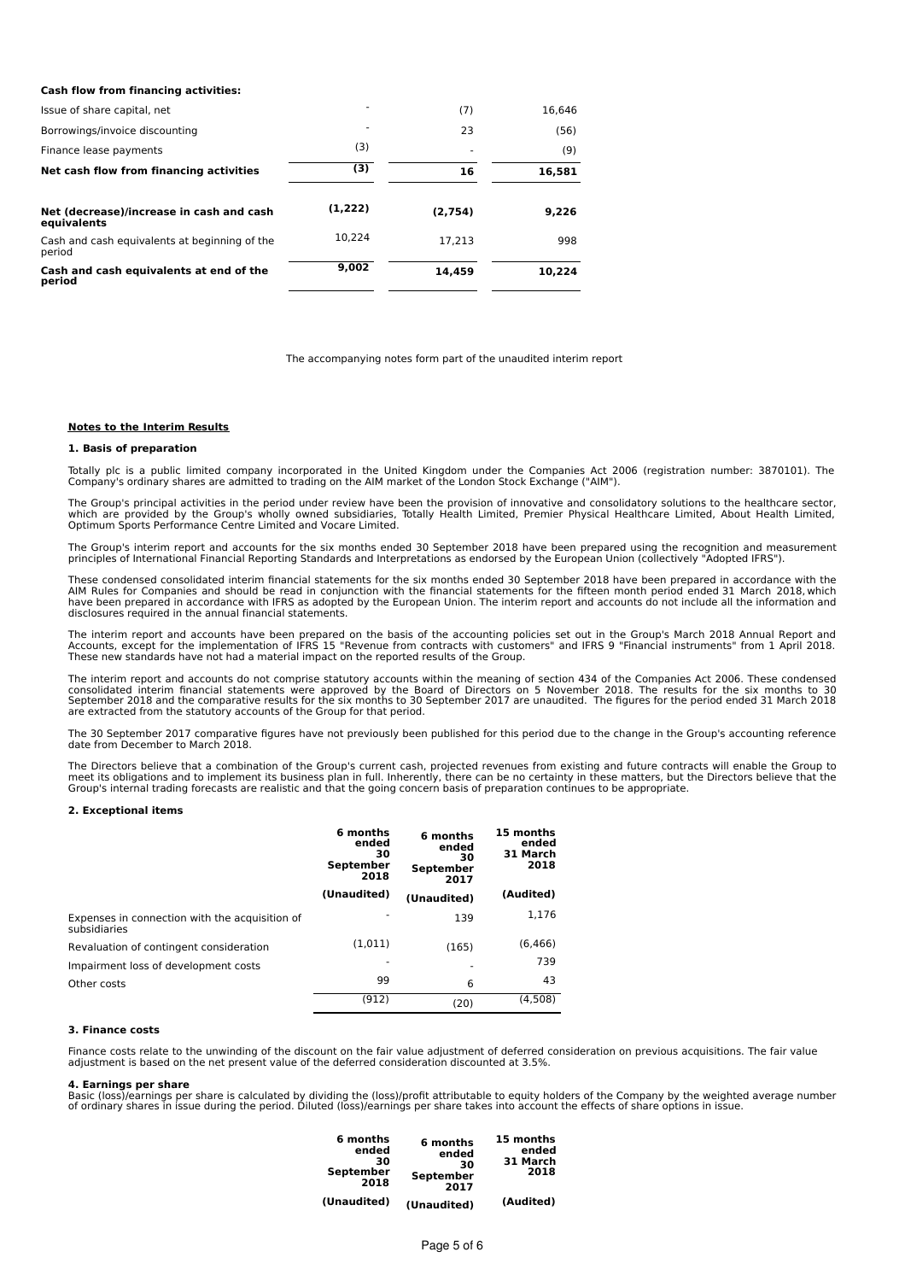| <b>Cash flow from financing activities:</b>             |         |         |        |
|---------------------------------------------------------|---------|---------|--------|
| Issue of share capital, net                             | ۰       | (7)     | 16.646 |
| Borrowings/invoice discounting                          |         | 23      | (56)   |
| Finance lease payments                                  | (3)     |         | (9)    |
| Net cash flow from financing activities                 | (3)     | 16      | 16,581 |
| Net (decrease)/increase in cash and cash<br>equivalents | (1,222) | (2,754) | 9,226  |
| Cash and cash equivalents at beginning of the<br>period | 10.224  | 17.213  | 998    |
| Cash and cash equivalents at end of the<br>period       | 9,002   | 14.459  | 10.224 |

The accompanying notes form part of the unaudited interim report

### **Notes to the Interim Results**

### **1. Basis of preparation**

Totally plc is a public limited company incorporated in the United Kingdom under the Companies Act 2006 (registration number: 3870101). The<br>Company's ordinary shares are admitted to trading on the AIM market of the London

The Group's principal activities in the period under review have been the provision of innovative and consolidatory solutions to the healthcare sector,<br>which are provided by the Group's wholly owned subsidiaries, Totally H

The Group's interim report and accounts for the six months ended 30 September 2018 have been prepared using the recognition and measurement principles of International Financial Reporting Standards and Interpretations as endorsed by the European Union (collectively "Adopted IFRS").

These condensed consolidated interim financial statements for the six months ended 30 September 2018 have been prepared in accordance with the AIM Rules for Companies and should be read in conjunction with the financial statements for the fifteen month period ended 31 March 2018, which<br>have been prepared in accordance with IFRS as adopted by the European Union. T disclosures required in the annual financial statements.

The interim report and accounts have been prepared on the basis of the accounting policies set out in the Group's March 2018 Annual Report and<br>Accounts, except for the implementation of IFRS 15 "Revenue from contracts with These new standards have not had a material impact on the reported results of the Group.

The interim report and accounts do not comprise statutory accounts within the meaning of section 434 of the Companies Act 2006. These condensed consolidated interim financial statements were approved by the Board of Directors on 5 November 2018. The results for the six months to 30<br>September 2018 and the comparative results for the six months to 30 September 2017 are extracted from the statutory accounts of the Group for that period.

The 30 September 2017 comparative figures have not previously been published for this period due to the change in the Group's accounting reference date from December to March 2018.

The Directors believe that a combination of the Group's current cash, projected revenues from existing and future contracts will enable the Group to<br>meet its obligations and to implement its business plan in full. Inherent

### **2. Exceptional items**

|                                                                | 6 months<br>ended<br>30<br>September<br>2018 | 6 months<br>ended<br>30<br>September<br>2017 | 15 months<br>ended<br>31 March<br>2018 |
|----------------------------------------------------------------|----------------------------------------------|----------------------------------------------|----------------------------------------|
|                                                                | (Unaudited)                                  | (Unaudited)                                  | (Audited)                              |
| Expenses in connection with the acquisition of<br>subsidiaries |                                              | 139                                          | 1.176                                  |
| Revaluation of contingent consideration                        | (1,011)                                      | (165)                                        | (6, 466)                               |
| Impairment loss of development costs                           | ٠                                            |                                              | 739                                    |
| Other costs                                                    | 99                                           | 6                                            | 43                                     |
|                                                                | (912)                                        | (20)                                         | (4,508)                                |

## **3. Finance costs**

Finance costs relate to the unwinding of the discount on the fair value adjustment of deferred consideration on previous acquisitions. The fair value adjustment is based on the net present value of the deferred consideration discounted at 3.5%.

### **4. Earnings per share**

Basic (loss)/earnings per share is calculated by dividing the (loss)/profit attributable to equity holders of the Company by the weighted average number<br>of ordinary shares in issue during the period. Diluted (loss)/earning

| 6 months<br>ended<br>30<br>September<br>2018 | 6 months<br>ended<br>30<br>September<br>2017 | 15 months<br>ended<br>31 March<br>2018 |
|----------------------------------------------|----------------------------------------------|----------------------------------------|
| (Unaudited)                                  | (Unaudited)                                  | (Audited)                              |